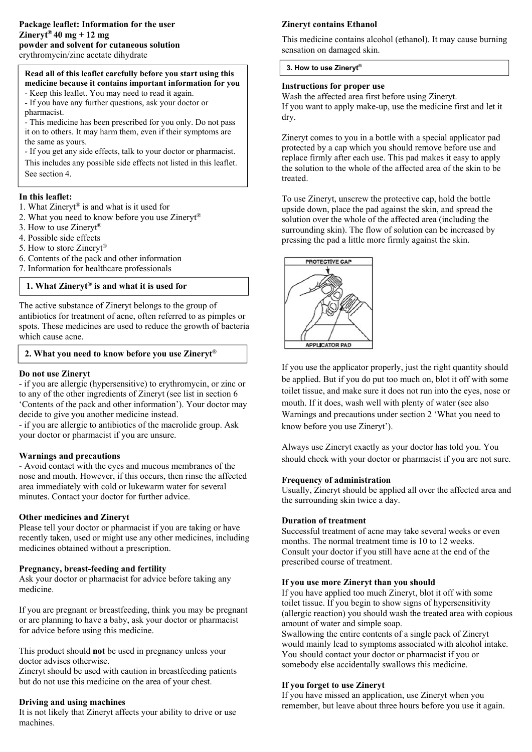# **Read all of this leaflet carefully before you start using this medicine because it contains important information for you**

- Keep this leaflet. You may need to read it again.

- If you have any further questions, ask your doctor or pharmacist.

- This medicine has been prescribed for you only. Do not pass it on to others. It may harm them, even if their symptoms are the same as yours.

- If you get any side effects, talk to your doctor or pharmacist.

This includes any possible side effects not listed in this leaflet. See section 4.

# **In this leaflet:**

- 1. What Zineryt® is and what is it used for
- 2. What you need to know before you use Zineryt®
- 3. How to use Zineryt®
- 4. Possible side effects
- 5. How to store Zinervt®
- 6. Contents of the pack and other information
- 7. Information for healthcare professionals

# **1. What Zineryt® is and what it is used for**

The active substance of Zineryt belongs to the group of antibiotics for treatment of acne, often referred to as pimples or spots. These medicines are used to reduce the growth of bacteria which cause acne.

## **2. What you need to know before you use Zineryt®**

## **Do not use Zineryt**

- if you are allergic (hypersensitive) to erythromycin, or zinc or to any of the other ingredients of Zineryt (see list in section 6 'Contents of the pack and other information'). Your doctor may decide to give you another medicine instead.

- if you are allergic to antibiotics of the macrolide group. Ask your doctor or pharmacist if you are unsure.

## **Warnings and precautions**

- Avoid contact with the eyes and mucous membranes of the nose and mouth. However, if this occurs, then rinse the affected area immediately with cold or lukewarm water for several minutes. Contact your doctor for further advice.

## **Other medicines and Zineryt**

Please tell your doctor or pharmacist if you are taking or have recently taken, used or might use any other medicines, including medicines obtained without a prescription.

## **Pregnancy, breast-feeding and fertility**

Ask your doctor or pharmacist for advice before taking any medicine.

If you are pregnant or breastfeeding, think you may be pregnant or are planning to have a baby, ask your doctor or pharmacist for advice before using this medicine.

This product should **not** be used in pregnancy unless your doctor advises otherwise.

Zineryt should be used with caution in breastfeeding patients but do not use this medicine on the area of your chest.

## **Driving and using machines**

It is not likely that Zineryt affects your ability to drive or use machines.

## **Zineryt contains Ethanol**

This medicine contains alcohol (ethanol). It may cause burning sensation on damaged skin.

#### **3. How to use Zineryt®**

#### **Instructions for proper use**

Wash the affected area first before using Zineryt. If you want to apply make-up, use the medicine first and let it dry.

Zineryt comes to you in a bottle with a special applicator pad protected by a cap which you should remove before use and replace firmly after each use. This pad makes it easy to apply the solution to the whole of the affected area of the skin to be treated.

To use Zineryt, unscrew the protective cap, hold the bottle upside down, place the pad against the skin, and spread the solution over the whole of the affected area (including the surrounding skin). The flow of solution can be increased by pressing the pad a little more firmly against the skin.



If you use the applicator properly, just the right quantity should be applied. But if you do put too much on, blot it off with some toilet tissue, and make sure it does not run into the eyes, nose or mouth. If it does, wash well with plenty of water (see also Warnings and precautions under section 2 'What you need to know before you use Zineryt').

Always use Zineryt exactly as your doctor has told you. You should check with your doctor or pharmacist if you are not sure.

## **Frequency of administration**

Usually, Zineryt should be applied all over the affected area and the surrounding skin twice a day.

#### **Duration of treatment**

Successful treatment of acne may take several weeks or even months. The normal treatment time is 10 to 12 weeks. Consult your doctor if you still have acne at the end of the prescribed course of treatment.

# **If you use more Zineryt than you should**

If you have applied too much Zineryt, blot it off with some toilet tissue. If you begin to show signs of hypersensitivity (allergic reaction) you should wash the treated area with copious amount of water and simple soap.

Swallowing the entire contents of a single pack of Zineryt would mainly lead to symptoms associated with alcohol intake. You should contact your doctor or pharmacist if you or somebody else accidentally swallows this medicine.

## **If you forget to use Zineryt**

If you have missed an application, use Zineryt when you remember, but leave about three hours before you use it again.